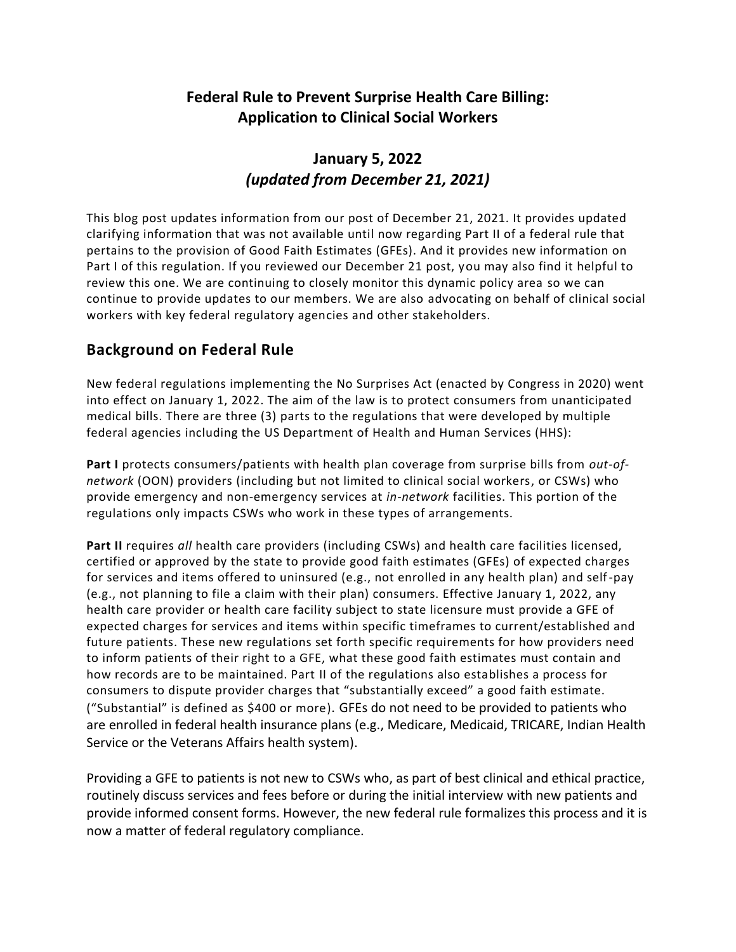# **Federal Rule to Prevent Surprise Health Care Billing: Application to Clinical Social Workers**

# **January 5, 2022**  *(updated from December 21, 2021)*

This blog post updates information from our post of December 21, 2021. It provides updated clarifying information that was not available until now regarding Part II of a federal rule that pertains to the provision of Good Faith Estimates (GFEs). And it provides new information on Part I of this regulation. If you reviewed our December 21 post, you may also find it helpful to review this one. We are continuing to closely monitor this dynamic policy area so we can continue to provide updates to our members. We are also advocating on behalf of clinical social workers with key federal regulatory agencies and other stakeholders.

# **Background on Federal Rule**

New federal regulations implementing the No Surprises Act (enacted by Congress in 2020) went into effect on January 1, 2022. The aim of the law is to protect consumers from unanticipated medical bills. There are three (3) parts to the regulations that were developed by multiple federal agencies including the US Department of Health and Human Services (HHS):

**Part I** protects consumers/patients with health plan coverage from surprise bills from *out-ofnetwork* (OON) providers (including but not limited to clinical social workers, or CSWs) who provide emergency and non-emergency services at *in-network* facilities. This portion of the regulations only impacts CSWs who work in these types of arrangements.

**Part II** requires *all* health care providers (including CSWs) and health care facilities licensed, certified or approved by the state to provide good faith estimates (GFEs) of expected charges for services and items offered to uninsured (e.g., not enrolled in any health plan) and self-pay (e.g., not planning to file a claim with their plan) consumers. Effective January 1, 2022, any health care provider or health care facility subject to state licensure must provide a GFE of expected charges for services and items within specific timeframes to current/established and future patients. These new regulations set forth specific requirements for how providers need to inform patients of their right to a GFE, what these good faith estimates must contain and how records are to be maintained. Part II of the regulations also establishes a process for consumers to dispute provider charges that "substantially exceed" a good faith estimate. ("Substantial" is defined as \$400 or more). GFEs do not need to be provided to patients who are enrolled in federal health insurance plans (e.g., Medicare, Medicaid, TRICARE, Indian Health Service or the Veterans Affairs health system).

Providing a GFE to patients is not new to CSWs who, as part of best clinical and ethical practice, routinely discuss services and fees before or during the initial interview with new patients and provide informed consent forms. However, the new federal rule formalizes this process and it is now a matter of federal regulatory compliance.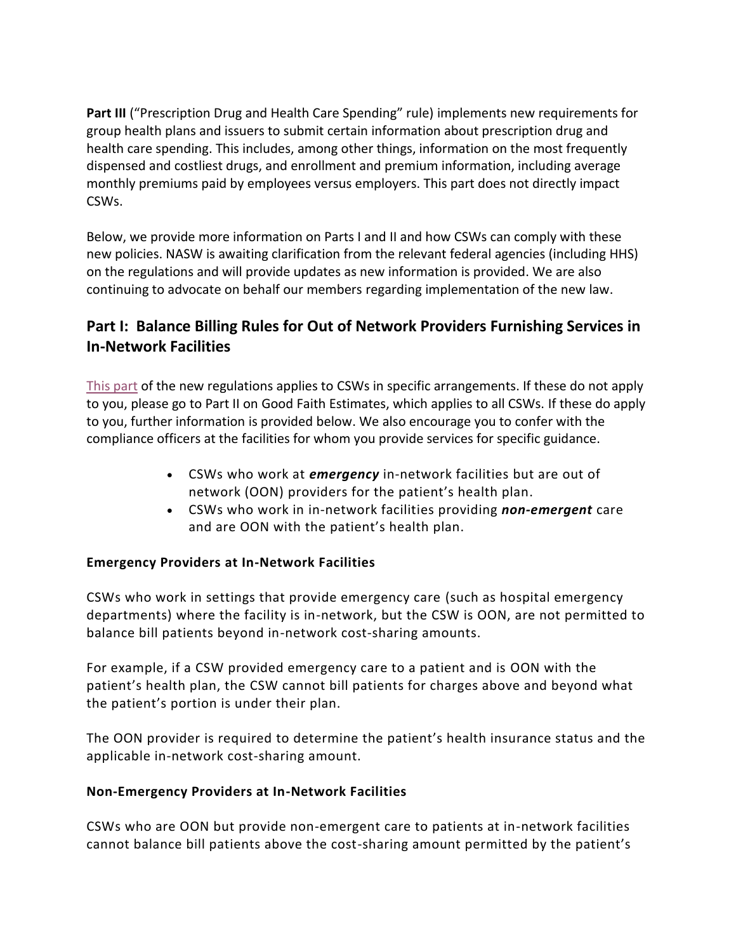**Part III** ("Prescription Drug and Health Care Spending" rule) implements new requirements for group health plans and issuers to submit certain information about prescription drug and health care spending. This includes, among other things, information on the most frequently dispensed and costliest drugs, and enrollment and premium information, including average monthly premiums paid by employees versus employers. This part does not directly impact CSWs.

Below, we provide more information on Parts I and II and how CSWs can comply with these new policies. NASW is awaiting clarification from the relevant federal agencies (including HHS) on the regulations and will provide updates as new information is provided. We are also continuing to advocate on behalf our members regarding implementation of the new law.

# **Part I: Balance Billing Rules for Out of Network Providers Furnishing Services in In-Network Facilities**

[This part](http://www.socialworkblog.org/featured-articles/2022/01/update-federal-rule-to-prevent-surprise-health-care-billing-application-to-clinical-social-workers/) of the new regulations applies to CSWs in specific arrangements. If these do not apply to you, please go to Part II on Good Faith Estimates, which applies to all CSWs. If these do apply to you, further information is provided below. We also encourage you to confer with the compliance officers at the facilities for whom you provide services for specific guidance.

- CSWs who work at *emergency* in-network facilities but are out of network (OON) providers for the patient's health plan.
- CSWs who work in in-network facilities providing *non-emergent* care and are OON with the patient's health plan.

# **Emergency Providers at In-Network Facilities**

CSWs who work in settings that provide emergency care (such as hospital emergency departments) where the facility is in-network, but the CSW is OON, are not permitted to balance bill patients beyond in-network cost-sharing amounts.

For example, if a CSW provided emergency care to a patient and is OON with the patient's health plan, the CSW cannot bill patients for charges above and beyond what the patient's portion is under their plan.

The OON provider is required to determine the patient's health insurance status and the applicable in-network cost-sharing amount.

# **Non-Emergency Providers at In-Network Facilities**

CSWs who are OON but provide non-emergent care to patients at in-network facilities cannot balance bill patients above the cost-sharing amount permitted by the patient's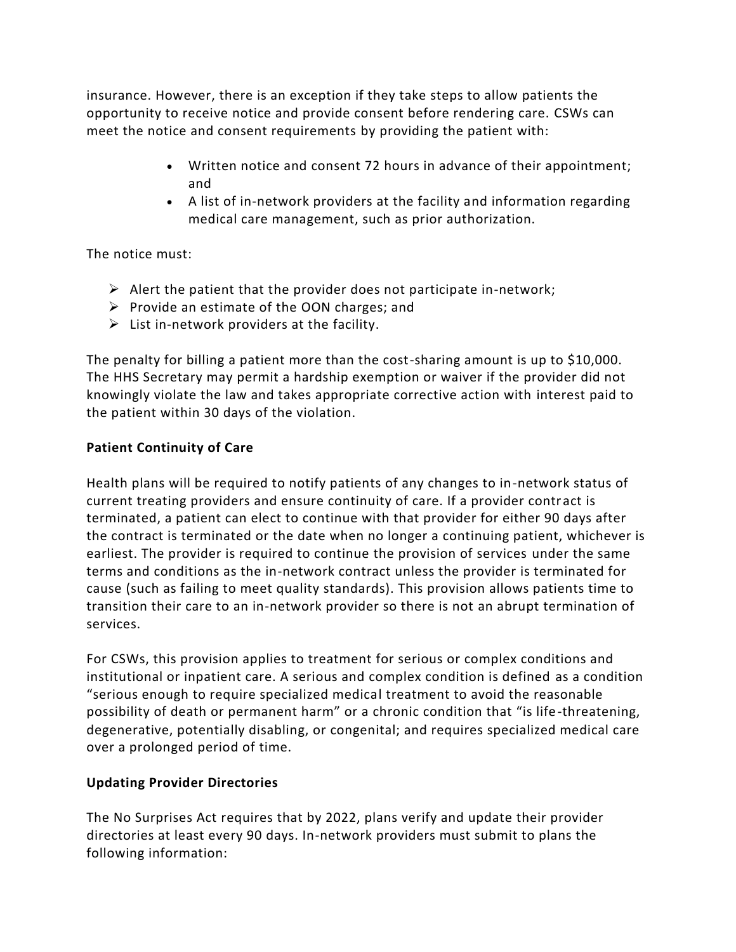insurance. However, there is an exception if they take steps to allow patients the opportunity to receive notice and provide consent before rendering care. CSWs can meet the notice and consent requirements by providing the patient with:

- Written notice and consent 72 hours in advance of their appointment; and
- A list of in-network providers at the facility and information regarding medical care management, such as prior authorization.

The notice must:

- $\triangleright$  Alert the patient that the provider does not participate in-network;
- $\triangleright$  Provide an estimate of the OON charges; and
- $\triangleright$  List in-network providers at the facility.

The penalty for billing a patient more than the cost-sharing amount is up to \$10,000. The HHS Secretary may permit a hardship exemption or waiver if the provider did not knowingly violate the law and takes appropriate corrective action with interest paid to the patient within 30 days of the violation.

# **Patient Continuity of Care**

Health plans will be required to notify patients of any changes to in-network status of current treating providers and ensure continuity of care. If a provider contract is terminated, a patient can elect to continue with that provider for either 90 days after the contract is terminated or the date when no longer a continuing patient, whichever is earliest. The provider is required to continue the provision of services under the same terms and conditions as the in-network contract unless the provider is terminated for cause (such as failing to meet quality standards). This provision allows patients time to transition their care to an in-network provider so there is not an abrupt termination of services.

For CSWs, this provision applies to treatment for serious or complex conditions and institutional or inpatient care. A serious and complex condition is defined as a condition "serious enough to require specialized medical treatment to avoid the reasonable possibility of death or permanent harm" or a chronic condition that "is life-threatening, degenerative, potentially disabling, or congenital; and requires specialized medical care over a prolonged period of time.

# **Updating Provider Directories**

The No Surprises Act requires that by 2022, plans verify and update their provider directories at least every 90 days. In-network providers must submit to plans the following information: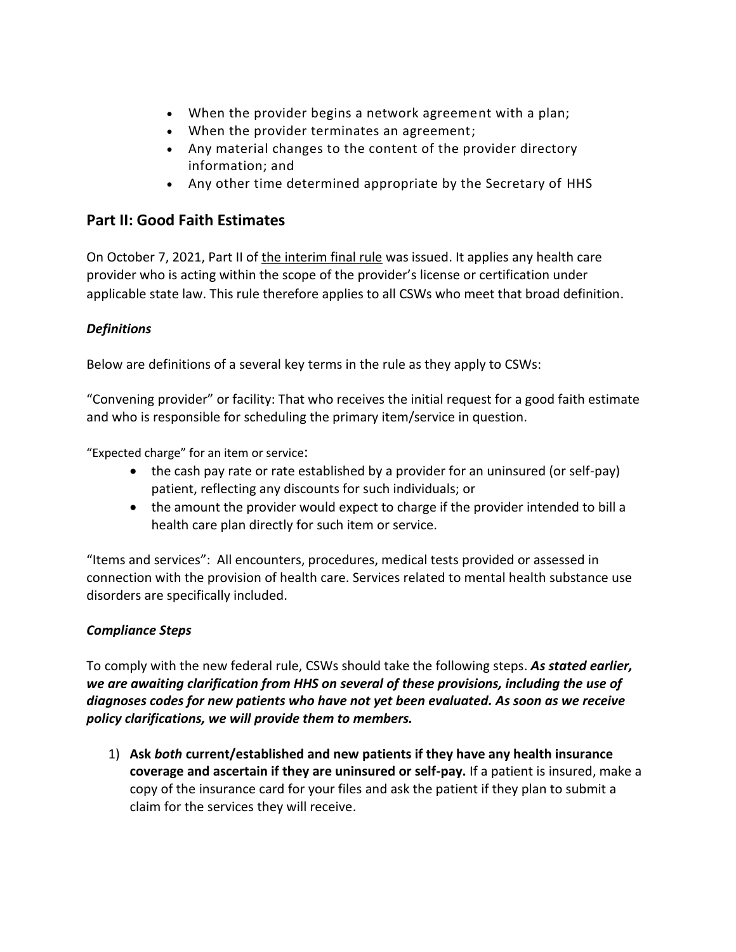- When the provider begins a network agreement with a plan;
- When the provider terminates an agreement;
- Any material changes to the content of the provider directory information; and
- Any other time determined appropriate by the Secretary of HHS

# **Part II: Good Faith Estimates**

On October 7, 2021, Part II of the [interim](https://www.federalregister.gov/documents/2021/10/07/2021-21441/requirements-related-to-surprise-billing-part-ii) final rule was issued. It applies any health care provider who is acting within the scope of the provider's license or certification under applicable state law. This rule therefore applies to all CSWs who meet that broad definition.

# *Definitions*

Below are definitions of a several key terms in the rule as they apply to CSWs:

"Convening provider" or facility: That who receives the initial request for a good faith estimate and who is responsible for scheduling the primary item/service in question.

"Expected charge" for an item or service:

- the cash pay rate or rate established by a provider for an uninsured (or self-pay) patient, reflecting any discounts for such individuals; or
- the amount the provider would expect to charge if the provider intended to bill a health care plan directly for such item or service.

"Items and services": All encounters, procedures, medical tests provided or assessed in connection with the provision of health care. Services related to mental health substance use disorders are specifically included.

# *Compliance Steps*

To comply with the new federal rule, CSWs should take the following steps. *As stated earlier, we are awaiting clarification from HHS on several of these provisions, including the use of diagnoses codes for new patients who have not yet been evaluated. As soon as we receive policy clarifications, we will provide them to members.*

1) **Ask** *both* **current/established and new patients if they have any health insurance coverage and ascertain if they are uninsured or self-pay.** If a patient is insured, make a copy of the insurance card for your files and ask the patient if they plan to submit a claim for the services they will receive.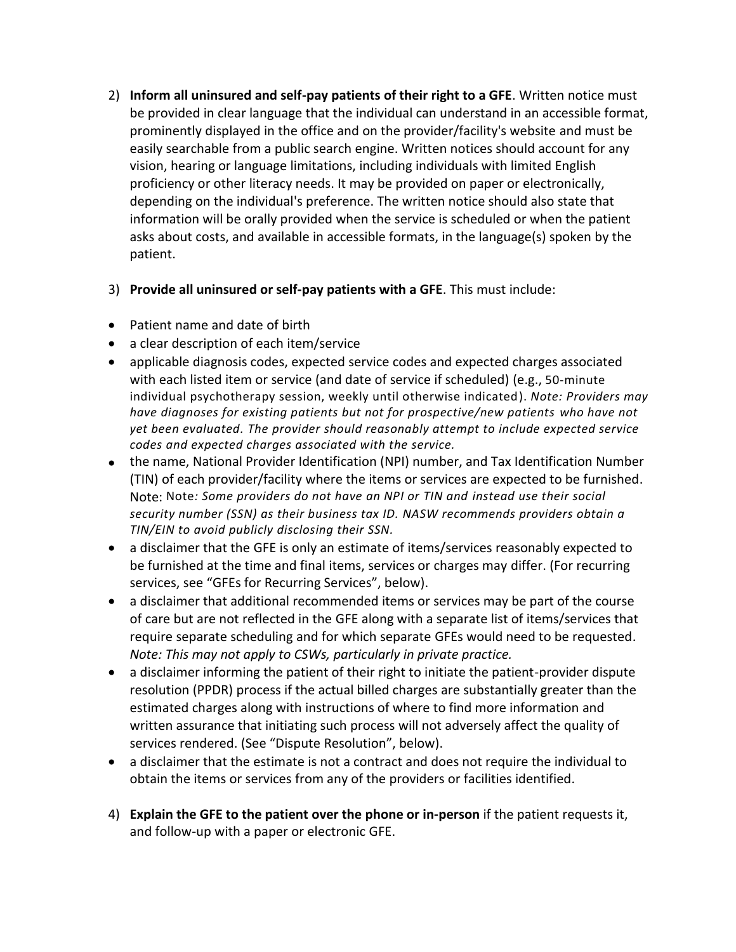- 2) **Inform all uninsured and self-pay patients of their right to a GFE**. Written notice must be provided in clear language that the individual can understand in an accessible format, prominently displayed in the office and on the provider/facility's website and must be easily searchable from a public search engine. Written notices should account for any vision, hearing or language limitations, including individuals with limited English proficiency or other literacy needs. It may be provided on paper or electronically, depending on the individual's preference. The written notice should also state that information will be orally provided when the service is scheduled or when the patient asks about costs, and available in accessible formats, in the language(s) spoken by the patient.
- 3) **Provide all uninsured or self-pay patients with a GFE**. This must include:
- Patient name and date of birth
- a clear description of each item/service
- applicable diagnosis codes, expected service codes and expected charges associated with each listed item or service (and date of service if scheduled) (e.g., 50-minute individual psychotherapy session, weekly until otherwise indicated). *Note: Providers may have diagnoses for existing patients but not for prospective/new patients who have not yet been evaluated. The provider should reasonably attempt to include expected service codes and expected charges associated with the service.*
- the name, National Provider Identification (NPI) number, and Tax Identification Number (TIN) of each provider/facility where the items or services are expected to be furnished. Note: Note*: Some providers do not have an NPI or TIN and instead use their social security number (SSN) as their business tax ID. NASW recommends providers obtain a TIN/EIN to avoid publicly disclosing their SSN.*
- a disclaimer that the GFE is only an estimate of items/services reasonably expected to be furnished at the time and final items, services or charges may differ. (For recurring services, see "GFEs for Recurring Services", below).
- a disclaimer that additional recommended items or services may be part of the course of care but are not reflected in the GFE along with a separate list of items/services that require separate scheduling and for which separate GFEs would need to be requested. *Note: This may not apply to CSWs, particularly in private practice.*
- a disclaimer informing the patient of their right to initiate the patient-provider dispute resolution (PPDR) process if the actual billed charges are substantially greater than the estimated charges along with instructions of where to find more information and written assurance that initiating such process will not adversely affect the quality of services rendered. (See "Dispute Resolution", below).
- a disclaimer that the estimate is not a contract and does not require the individual to obtain the items or services from any of the providers or facilities identified.
- 4) **Explain the GFE to the patient over the phone or in-person** if the patient requests it, and follow-up with a paper or electronic GFE.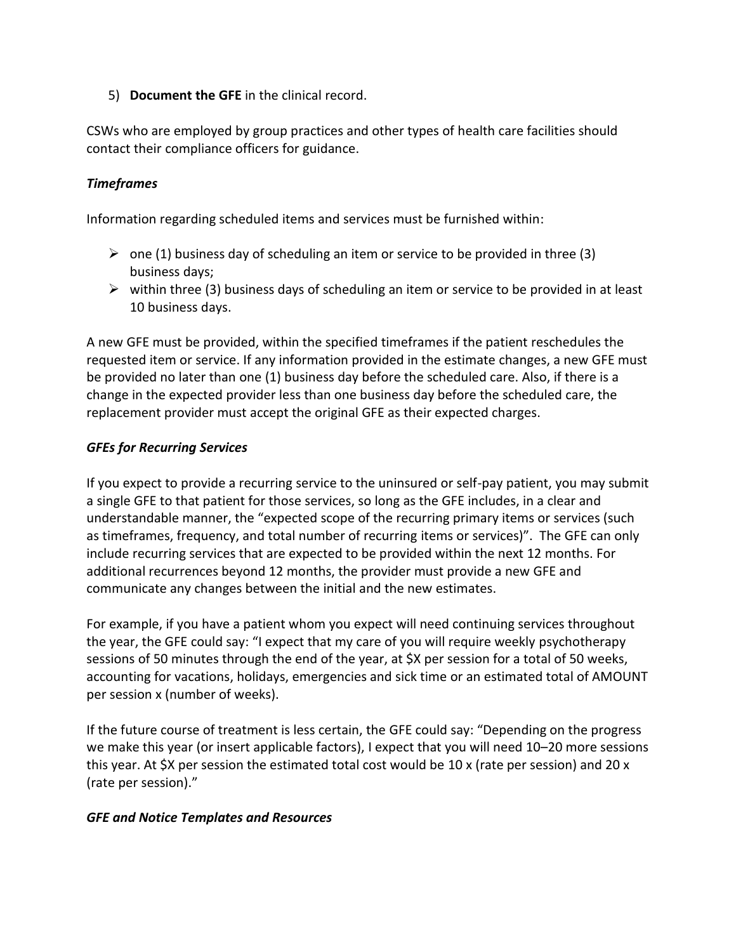5) **Document the GFE** in the clinical record.

CSWs who are employed by group practices and other types of health care facilities should contact their compliance officers for guidance.

### *Timeframes*

Information regarding scheduled items and services must be furnished within:

- $\triangleright$  one (1) business day of scheduling an item or service to be provided in three (3) business days;
- $\triangleright$  within three (3) business days of scheduling an item or service to be provided in at least 10 business days.

A new GFE must be provided, within the specified timeframes if the patient reschedules the requested item or service. If any information provided in the estimate changes, a new GFE must be provided no later than one (1) business day before the scheduled care. Also, if there is a change in the expected provider less than one business day before the scheduled care, the replacement provider must accept the original GFE as their expected charges.

#### *GFEs for Recurring Services*

If you expect to provide a recurring service to the uninsured or self-pay patient, you may submit a single GFE to that patient for those services, so long as the GFE includes, in a clear and understandable manner, the "expected scope of the recurring primary items or services (such as timeframes, frequency, and total number of recurring items or services)". The GFE can only include recurring services that are expected to be provided within the next 12 months. For additional recurrences beyond 12 months, the provider must provide a new GFE and communicate any changes between the initial and the new estimates.

For example, if you have a patient whom you expect will need continuing services throughout the year, the GFE could say: "I expect that my care of you will require weekly psychotherapy sessions of 50 minutes through the end of the year, at \$X per session for a total of 50 weeks, accounting for vacations, holidays, emergencies and sick time or an estimated total of AMOUNT per session x (number of weeks).

If the future course of treatment is less certain, the GFE could say: "Depending on the progress we make this year (or insert applicable factors), I expect that you will need 10–20 more sessions this year. At \$X per session the estimated total cost would be 10 x (rate per session) and 20 x (rate per session)."

#### *GFE and Notice Templates and Resources*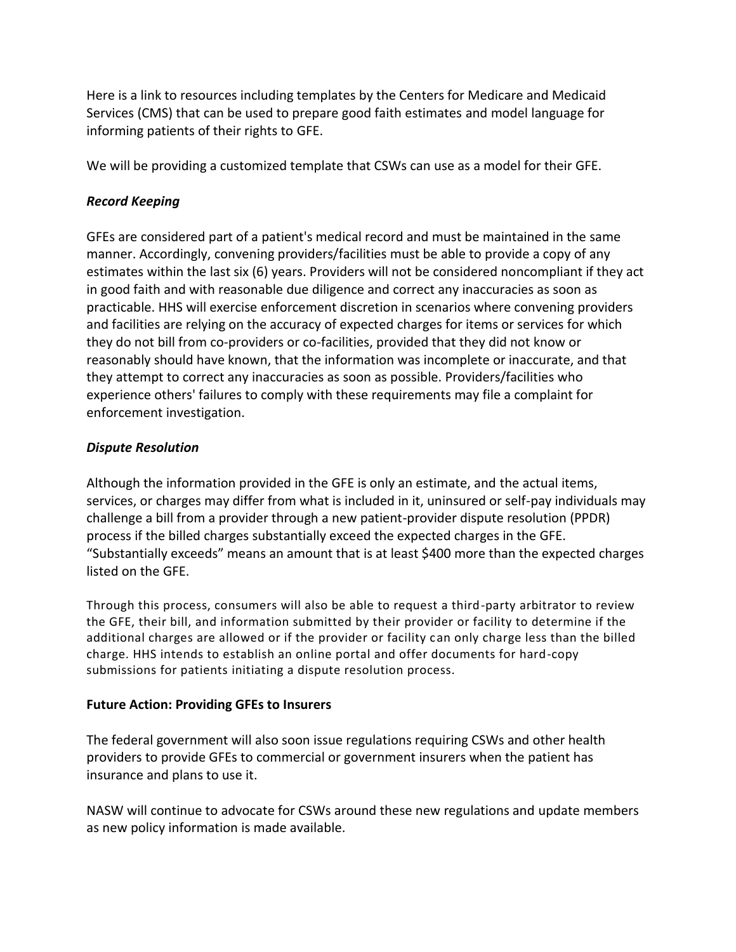Here is a link to resources including templates by the Centers for Medicare and Medicaid Services (CMS) that can be used to prepare good faith estimates and model language for informing patients of their rights to GFE.

We will be providing a customized template that CSWs can use as a model for their GFE.

### *Record Keeping*

GFEs are considered part of a patient's medical record and must be maintained in the same manner. Accordingly, convening providers/facilities must be able to provide a copy of any estimates within the last six (6) years. Providers will not be considered noncompliant if they act in good faith and with reasonable due diligence and correct any inaccuracies as soon as practicable. HHS will exercise enforcement discretion in scenarios where convening providers and facilities are relying on the accuracy of expected charges for items or services for which they do not bill from co-providers or co-facilities, provided that they did not know or reasonably should have known, that the information was incomplete or inaccurate, and that they attempt to correct any inaccuracies as soon as possible. Providers/facilities who experience others' failures to comply with these requirements may file a complaint for enforcement investigation.

#### *Dispute Resolution*

Although the information provided in the GFE is only an estimate, and the actual items, services, or charges may differ from what is included in it, uninsured or self-pay individuals may challenge a bill from a provider through a new patient-provider dispute resolution (PPDR) process if the billed charges substantially exceed the expected charges in the GFE. "Substantially exceeds" means an amount that is at least \$400 more than the expected charges listed on the GFE.

Through this process, consumers will also be able to request a third-party arbitrator to review the GFE, their bill, and information submitted by their provider or facility to determine if the additional charges are allowed or if the provider or facility can only charge less than the billed charge. HHS intends to establish an online portal and offer documents for hard-copy submissions for patients initiating a dispute resolution process.

# **Future Action: Providing GFEs to Insurers**

The federal government will also soon issue regulations requiring CSWs and other health providers to provide GFEs to commercial or government insurers when the patient has insurance and plans to use it.

NASW will continue to advocate for CSWs around these new regulations and update members as new policy information is made available.